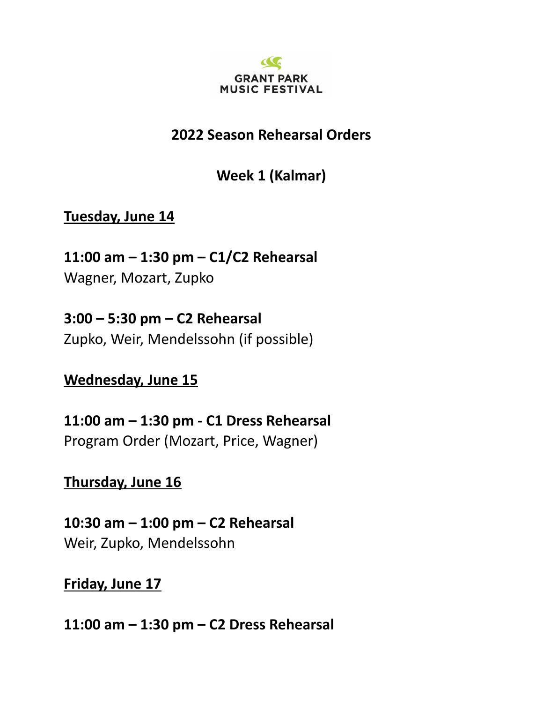

## **2022 Season Rehearsal Orders**

**Week 1 (Kalmar)**

**Tuesday, June 14**

**11:00 am – 1:30 pm – C1/C2 Rehearsal** Wagner, Mozart, Zupko

**3:00 – 5:30 pm – C2 Rehearsal** Zupko, Weir, Mendelssohn (if possible)

**Wednesday, June 15**

**11:00 am – 1:30 pm - C1 Dress Rehearsal** Program Order (Mozart, Price, Wagner)

**Thursday, June 16**

**10:30 am – 1:00 pm – C2 Rehearsal** Weir, Zupko, Mendelssohn

**Friday, June 17**

**11:00 am – 1:30 pm – C2 Dress Rehearsal**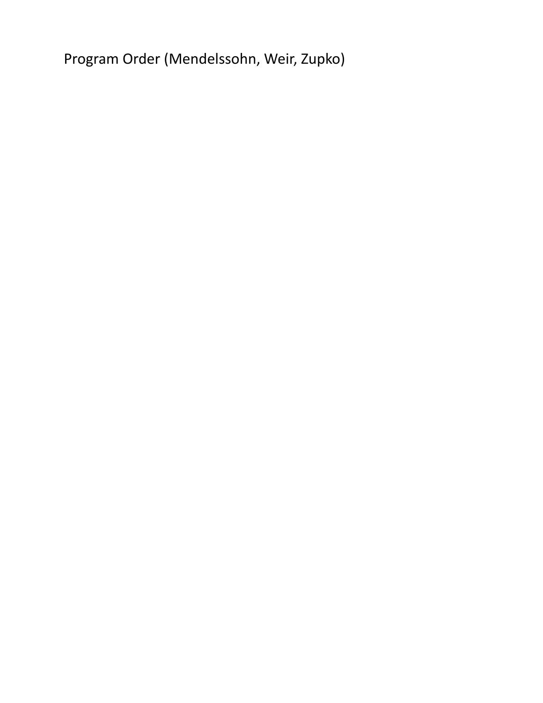Program Order (Mendelssohn, Weir, Zupko)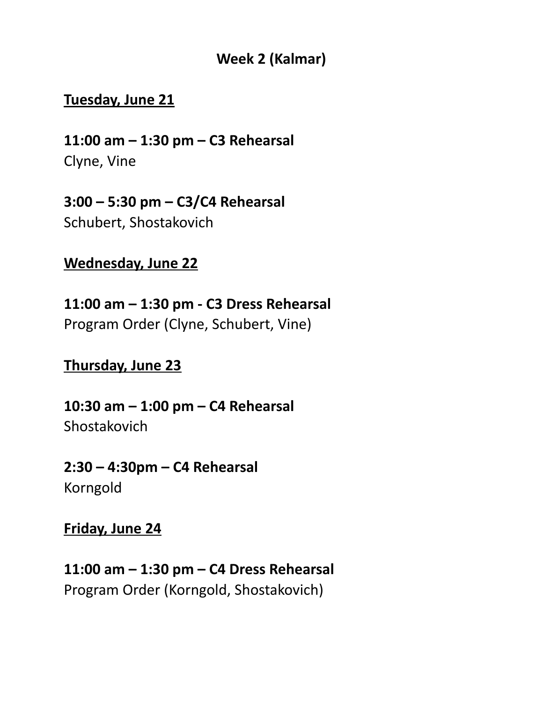## **Week 2 (Kalmar)**

#### **Tuesday, June 21**

**11:00 am – 1:30 pm – C3 Rehearsal** Clyne, Vine

**3:00 – 5:30 pm – C3/C4 Rehearsal** Schubert, Shostakovich

## **Wednesday, June 22**

**11:00 am – 1:30 pm - C3 Dress Rehearsal** Program Order (Clyne, Schubert, Vine)

## **Thursday, June 23**

**10:30 am – 1:00 pm – C4 Rehearsal Shostakovich** 

**2:30 – 4:30pm – C4 Rehearsal** Korngold

#### **Friday, June 24**

**11:00 am – 1:30 pm – C4 Dress Rehearsal** Program Order (Korngold, Shostakovich)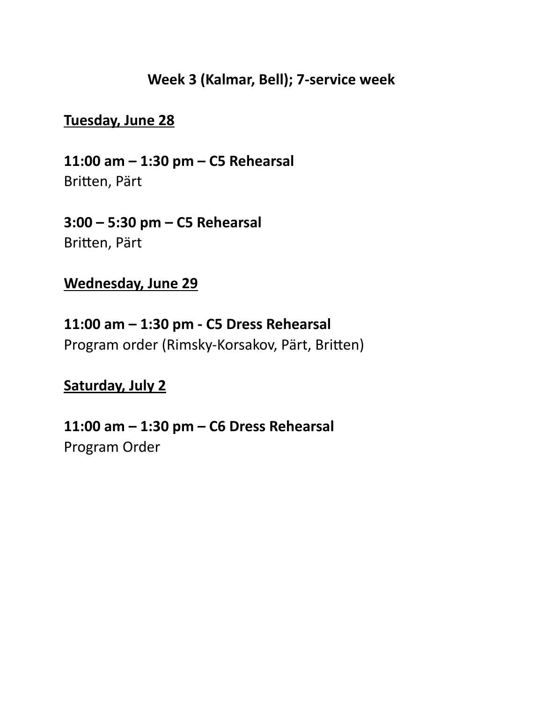#### **Week 3 (Kalmar, Bell); 7-service week**

#### **Tuesday, June 28**

**11:00 am – 1:30 pm – C5 Rehearsal** Britten, Pärt

**3:00 – 5:30 pm – C5 Rehearsal** Britten, Pärt

#### **Wednesday, June 29**

**11:00 am – 1:30 pm - C5 Dress Rehearsal** Program order (Rimsky-Korsakov, Pärt, Britten)

#### **Saturday, July 2**

**11:00 am – 1:30 pm – C6 Dress Rehearsal** Program Order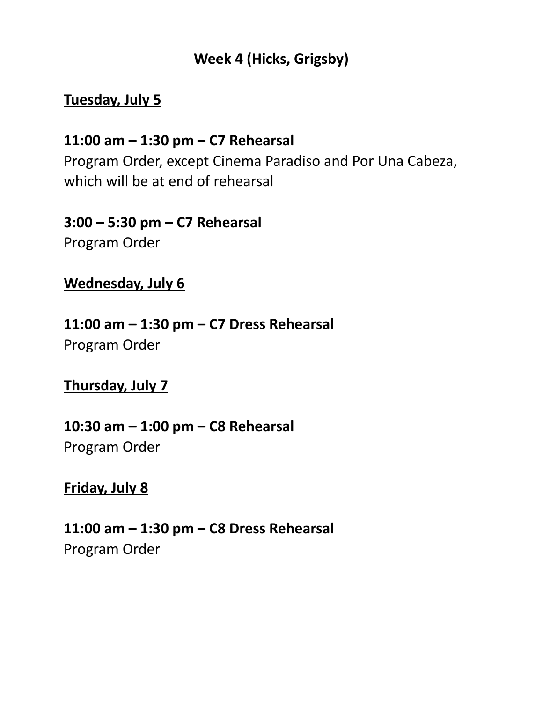## **Week 4 (Hicks, Grigsby)**

## **Tuesday, July 5**

## **11:00 am – 1:30 pm – C7 Rehearsal** Program Order, except Cinema Paradiso and Por Una Cabeza, which will be at end of rehearsal

# **3:00 – 5:30 pm – C7 Rehearsal**

Program Order

## **Wednesday, July 6**

## **11:00 am – 1:30 pm – C7 Dress Rehearsal** Program Order

## **Thursday, July 7**

# **10:30 am – 1:00 pm – C8 Rehearsal** Program Order

## **Friday, July 8**

**11:00 am – 1:30 pm – C8 Dress Rehearsal** Program Order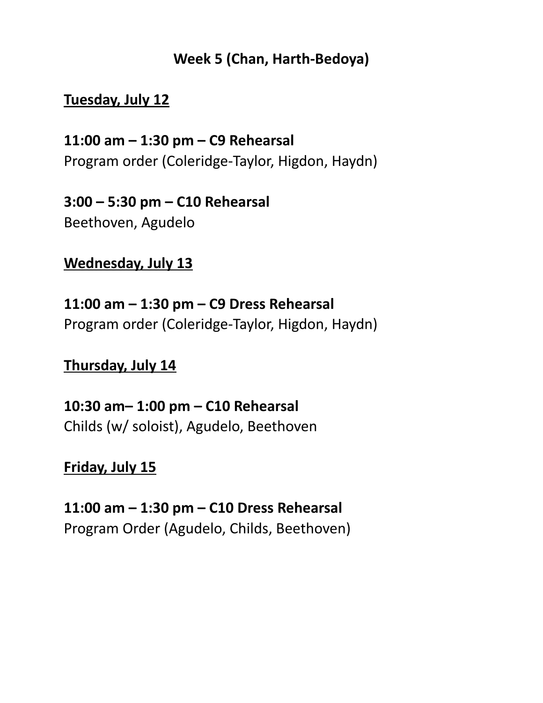## **Week 5 (Chan, Harth-Bedoya)**

## **Tuesday, July 12**

**11:00 am – 1:30 pm – C9 Rehearsal** Program order (Coleridge-Taylor, Higdon, Haydn)

**3:00 – 5:30 pm – C10 Rehearsal** Beethoven, Agudelo

**Wednesday, July 13**

**11:00 am – 1:30 pm – C9 Dress Rehearsal** Program order (Coleridge-Taylor, Higdon, Haydn)

## **Thursday, July 14**

**10:30 am– 1:00 pm – C10 Rehearsal** Childs (w/ soloist), Agudelo, Beethoven

#### **Friday, July 15**

**11:00 am – 1:30 pm – C10 Dress Rehearsal** Program Order (Agudelo, Childs, Beethoven)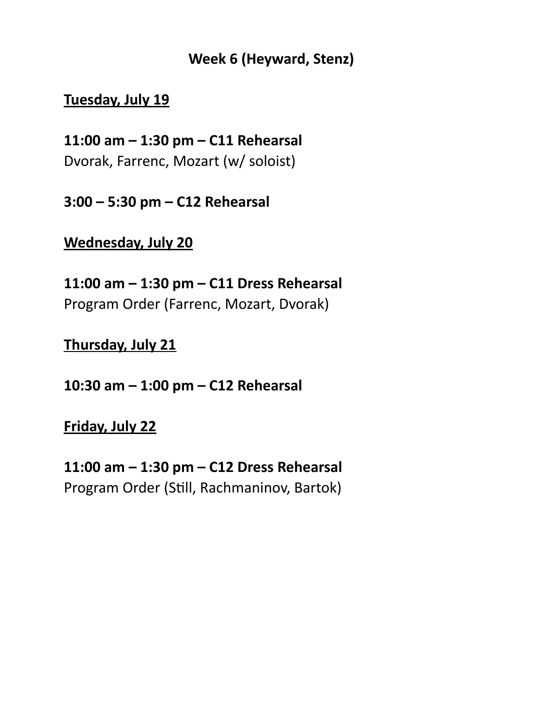#### **Week 6 (Heyward, Stenz)**

#### **Tuesday, July 19**

**11:00 am – 1:30 pm – C11 Rehearsal** Dvorak, Farrenc, Mozart (w/ soloist)

**3:00 – 5:30 pm – C12 Rehearsal**

#### **Wednesday, July 20**

**11:00 am – 1:30 pm – C11 Dress Rehearsal** Program Order (Farrenc, Mozart, Dvorak)

**Thursday, July 21**

**10:30 am – 1:00 pm – C12 Rehearsal**

**Friday, July 22**

**11:00 am – 1:30 pm – C12 Dress Rehearsal** Program Order (Still, Rachmaninov, Bartok)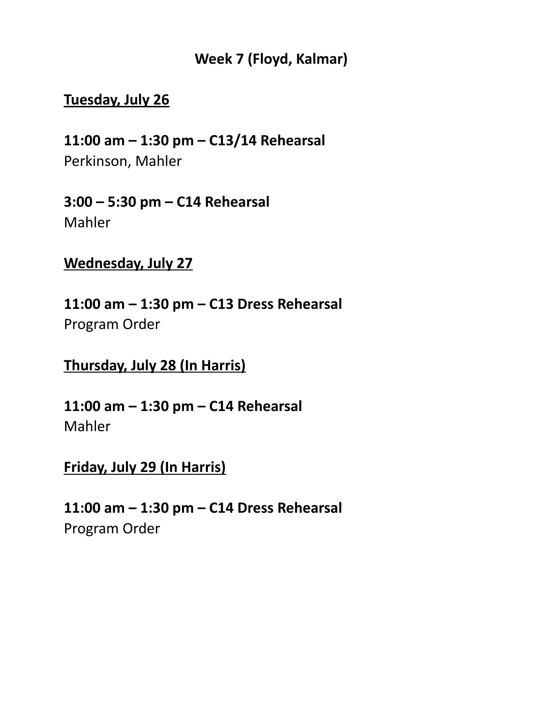#### **Week 7 (Floyd, Kalmar)**

#### **Tuesday, July 26**

**11:00 am – 1:30 pm – C13/14 Rehearsal** Perkinson, Mahler

**3:00 – 5:30 pm – C14 Rehearsal** Mahler

**Wednesday, July 27**

**11:00 am – 1:30 pm – C13 Dress Rehearsal** Program Order

**Thursday, July 28 (In Harris)**

**11:00 am – 1:30 pm – C14 Rehearsal** Mahler

#### **Friday, July 29 (In Harris)**

**11:00 am – 1:30 pm – C14 Dress Rehearsal** Program Order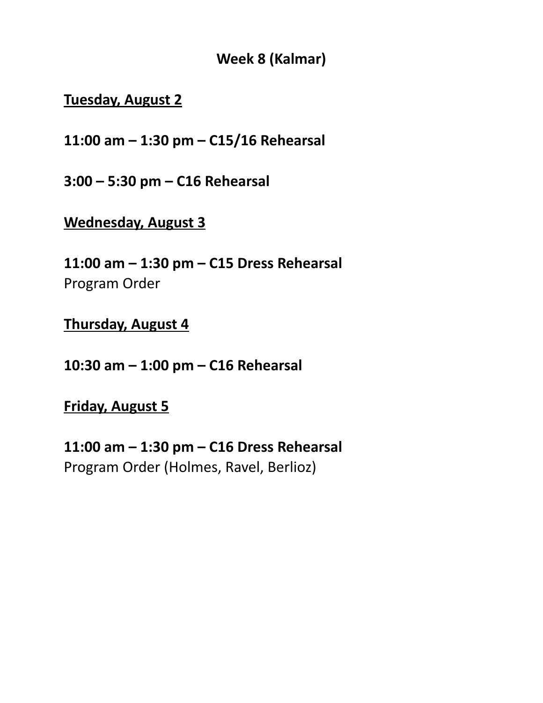**Week 8 (Kalmar)**

#### **Tuesday, August 2**

**11:00 am – 1:30 pm – C15/16 Rehearsal**

**3:00 – 5:30 pm – C16 Rehearsal**

#### **Wednesday, August 3**

**11:00 am – 1:30 pm – C15 Dress Rehearsal** Program Order

#### **Thursday, August 4**

**10:30 am – 1:00 pm – C16 Rehearsal**

#### **Friday, August 5**

**11:00 am – 1:30 pm – C16 Dress Rehearsal** Program Order (Holmes, Ravel, Berlioz)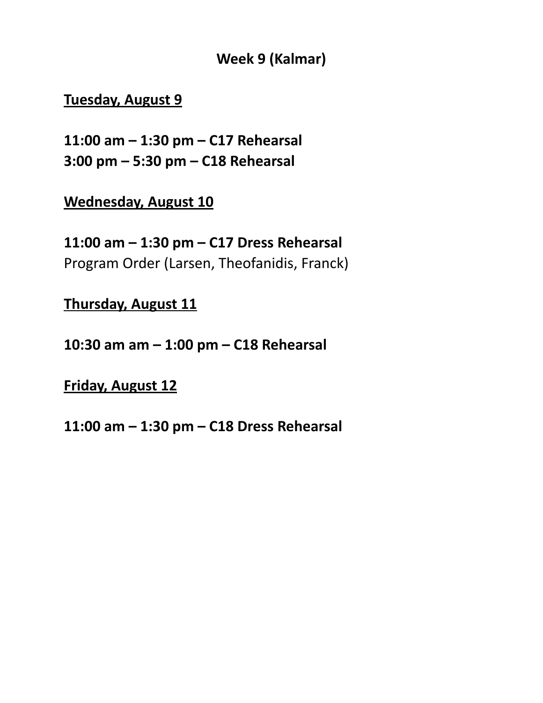#### **Week 9 (Kalmar)**

#### **Tuesday, August 9**

**11:00 am – 1:30 pm – C17 Rehearsal 3:00 pm – 5:30 pm – C18 Rehearsal**

**Wednesday, August 10**

**11:00 am – 1:30 pm – C17 Dress Rehearsal** Program Order (Larsen, Theofanidis, Franck)

**Thursday, August 11**

**10:30 am am – 1:00 pm – C18 Rehearsal**

**Friday, August 12**

**11:00 am – 1:30 pm – C18 Dress Rehearsal**